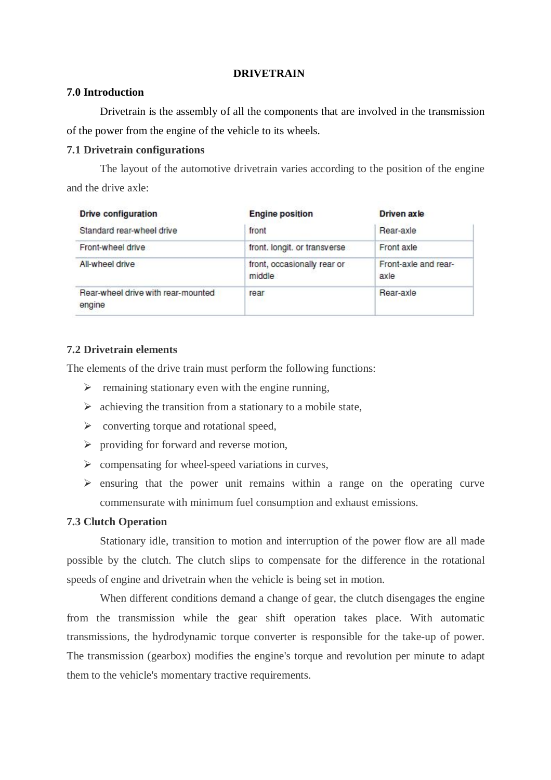### **DRIVETRAIN**

## **7.0 Introduction**

Drivetrain is the assembly of all the components that are involved in the transmission of the power from the engine of the vehicle to its wheels.

## **7.1 Drivetrain configurations**

The layout of the automotive drivetrain varies according to the position of the engine and the drive axle:

| <b>Drive configuration</b>                   | <b>Engine position</b>                | Driven axle                  |
|----------------------------------------------|---------------------------------------|------------------------------|
| Standard rear-wheel drive                    | front                                 | Rear-axle                    |
| Front-wheel drive                            | front. longit. or transverse          | Front axle                   |
| All-wheel drive                              | front, occasionally rear or<br>middle | Front-axle and rear-<br>axle |
| Rear-wheel drive with rear-mounted<br>engine | rear                                  | Rear-axle                    |

# **7.2 Drivetrain elements**

The elements of the drive train must perform the following functions:

- $\triangleright$  remaining stationary even with the engine running,
- $\triangleright$  achieving the transition from a stationary to a mobile state,
- $\triangleright$  converting torque and rotational speed,
- $\triangleright$  providing for forward and reverse motion,
- $\triangleright$  compensating for wheel-speed variations in curves,
- $\triangleright$  ensuring that the power unit remains within a range on the operating curve commensurate with minimum fuel consumption and exhaust emissions.

### **7.3 Clutch Operation**

Stationary idle, transition to motion and interruption of the power flow are all made possible by the clutch. The clutch slips to compensate for the difference in the rotational speeds of engine and drivetrain when the vehicle is being set in motion.

When different conditions demand a change of gear, the clutch disengages the engine from the transmission while the gear shift operation takes place. With automatic transmissions, the hydrodynamic torque converter is responsible for the take-up of power. The transmission (gearbox) modifies the engine's torque and revolution per minute to adapt them to the vehicle's momentary tractive requirements.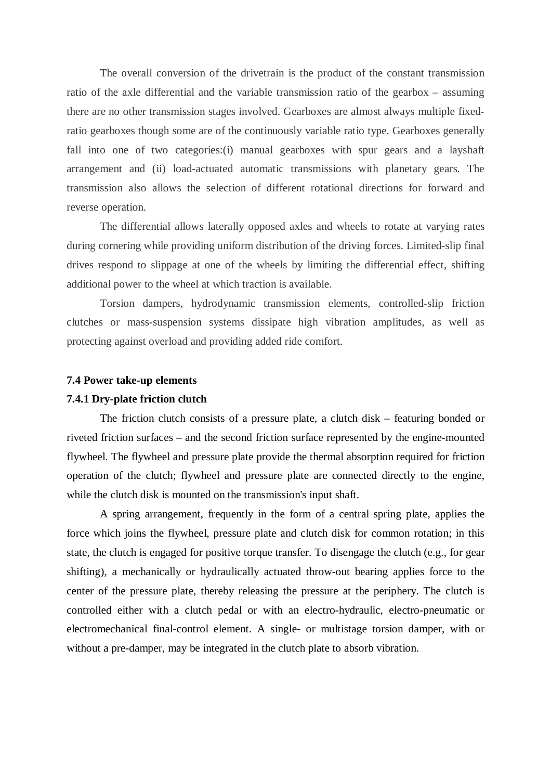The overall conversion of the drivetrain is the product of the constant transmission ratio of the axle differential and the variable transmission ratio of the gearbox – assuming there are no other transmission stages involved. Gearboxes are almost always multiple fixedratio gearboxes though some are of the continuously variable ratio type. Gearboxes generally fall into one of two categories:(i) manual gearboxes with spur gears and a layshaft arrangement and (ii) load-actuated automatic transmissions with planetary gears. The transmission also allows the selection of different rotational directions for forward and reverse operation.

The differential allows laterally opposed axles and wheels to rotate at varying rates during cornering while providing uniform distribution of the driving forces. Limited-slip final drives respond to slippage at one of the wheels by limiting the differential effect, shifting additional power to the wheel at which traction is available.

Torsion dampers, hydrodynamic transmission elements, controlled-slip friction clutches or mass-suspension systems dissipate high vibration amplitudes, as well as protecting against overload and providing added ride comfort.

### **7.4 Power take-up elements**

### **7.4.1 Dry-plate friction clutch**

The friction clutch consists of a pressure plate, a clutch disk – featuring bonded or riveted friction surfaces – and the second friction surface represented by the engine-mounted flywheel. The flywheel and pressure plate provide the thermal absorption required for friction operation of the clutch; flywheel and pressure plate are connected directly to the engine, while the clutch disk is mounted on the transmission's input shaft.

A spring arrangement, frequently in the form of a central spring plate, applies the force which joins the flywheel, pressure plate and clutch disk for common rotation; in this state, the clutch is engaged for positive torque transfer. To disengage the clutch (e.g., for gear shifting), a mechanically or hydraulically actuated throw-out bearing applies force to the center of the pressure plate, thereby releasing the pressure at the periphery. The clutch is controlled either with a clutch pedal or with an electro-hydraulic, electro-pneumatic or electromechanical final-control element. A single- or multistage torsion damper, with or without a pre-damper, may be integrated in the clutch plate to absorb vibration.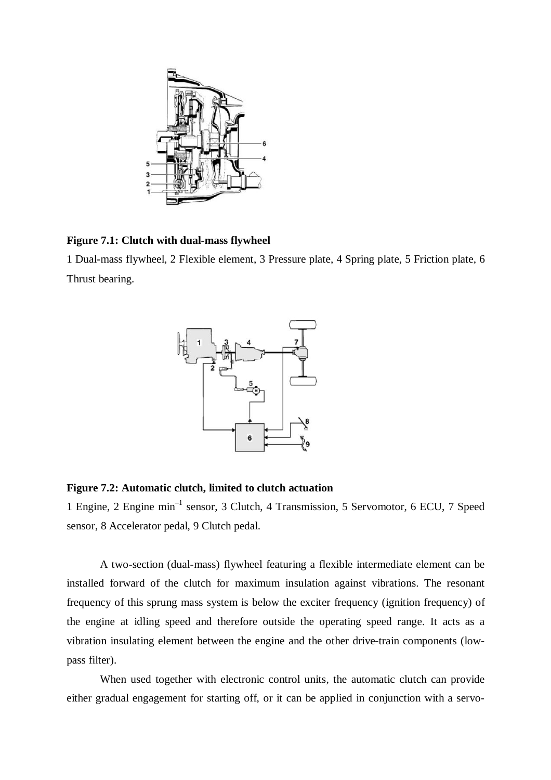

# **Figure 7.1: Clutch with dual-mass flywheel**

1 Dual-mass flywheel, 2 Flexible element, 3 Pressure plate, 4 Spring plate, 5 Friction plate, 6 Thrust bearing.



# **Figure 7.2: Automatic clutch, limited to clutch actuation**

1 Engine, 2 Engine min–1 sensor, 3 Clutch, 4 Transmission, 5 Servomotor, 6 ECU, 7 Speed sensor, 8 Accelerator pedal, 9 Clutch pedal.

A two-section (dual-mass) flywheel featuring a flexible intermediate element can be installed forward of the clutch for maximum insulation against vibrations. The resonant frequency of this sprung mass system is below the exciter frequency (ignition frequency) of the engine at idling speed and therefore outside the operating speed range. It acts as a vibration insulating element between the engine and the other drive-train components (lowpass filter).

When used together with electronic control units, the automatic clutch can provide either gradual engagement for starting off, or it can be applied in conjunction with a servo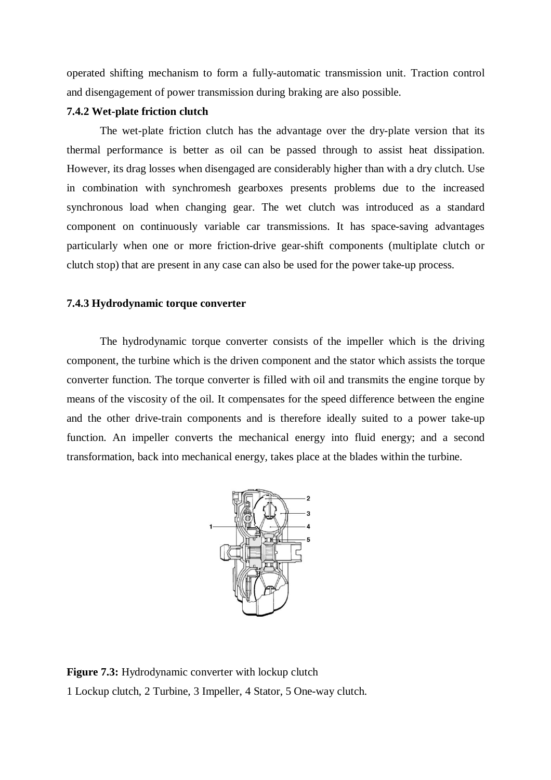operated shifting mechanism to form a fully-automatic transmission unit. Traction control and disengagement of power transmission during braking are also possible.

#### **7.4.2 Wet-plate friction clutch**

The wet-plate friction clutch has the advantage over the dry-plate version that its thermal performance is better as oil can be passed through to assist heat dissipation. However, its drag losses when disengaged are considerably higher than with a dry clutch. Use in combination with synchromesh gearboxes presents problems due to the increased synchronous load when changing gear. The wet clutch was introduced as a standard component on continuously variable car transmissions. It has space-saving advantages particularly when one or more friction-drive gear-shift components (multiplate clutch or clutch stop) that are present in any case can also be used for the power take-up process.

#### **7.4.3 Hydrodynamic torque converter**

The hydrodynamic torque converter consists of the impeller which is the driving component, the turbine which is the driven component and the stator which assists the torque converter function. The torque converter is filled with oil and transmits the engine torque by means of the viscosity of the oil. It compensates for the speed difference between the engine and the other drive-train components and is therefore ideally suited to a power take-up function. An impeller converts the mechanical energy into fluid energy; and a second transformation, back into mechanical energy, takes place at the blades within the turbine.



**Figure 7.3:** Hydrodynamic converter with lockup clutch 1 Lockup clutch, 2 Turbine, 3 Impeller, 4 Stator, 5 One-way clutch.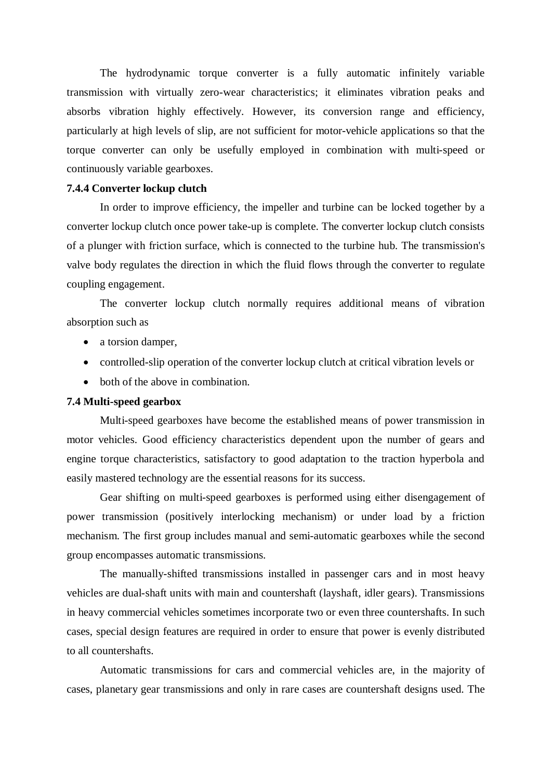The hydrodynamic torque converter is a fully automatic infinitely variable transmission with virtually zero-wear characteristics; it eliminates vibration peaks and absorbs vibration highly effectively. However, its conversion range and efficiency, particularly at high levels of slip, are not sufficient for motor-vehicle applications so that the torque converter can only be usefully employed in combination with multi-speed or continuously variable gearboxes.

#### **7.4.4 Converter lockup clutch**

In order to improve efficiency, the impeller and turbine can be locked together by a converter lockup clutch once power take-up is complete. The converter lockup clutch consists of a plunger with friction surface, which is connected to the turbine hub. The transmission's valve body regulates the direction in which the fluid flows through the converter to regulate coupling engagement.

The converter lockup clutch normally requires additional means of vibration absorption such as

- a torsion damper,
- controlled-slip operation of the converter lockup clutch at critical vibration levels or
- both of the above in combination.

## **7.4 Multi-speed gearbox**

Multi-speed gearboxes have become the established means of power transmission in motor vehicles. Good efficiency characteristics dependent upon the number of gears and engine torque characteristics, satisfactory to good adaptation to the traction hyperbola and easily mastered technology are the essential reasons for its success.

Gear shifting on multi-speed gearboxes is performed using either disengagement of power transmission (positively interlocking mechanism) or under load by a friction mechanism. The first group includes manual and semi-automatic gearboxes while the second group encompasses automatic transmissions.

The manually-shifted transmissions installed in passenger cars and in most heavy vehicles are dual-shaft units with main and countershaft (layshaft, idler gears). Transmissions in heavy commercial vehicles sometimes incorporate two or even three countershafts. In such cases, special design features are required in order to ensure that power is evenly distributed to all countershafts.

Automatic transmissions for cars and commercial vehicles are, in the majority of cases, planetary gear transmissions and only in rare cases are countershaft designs used. The